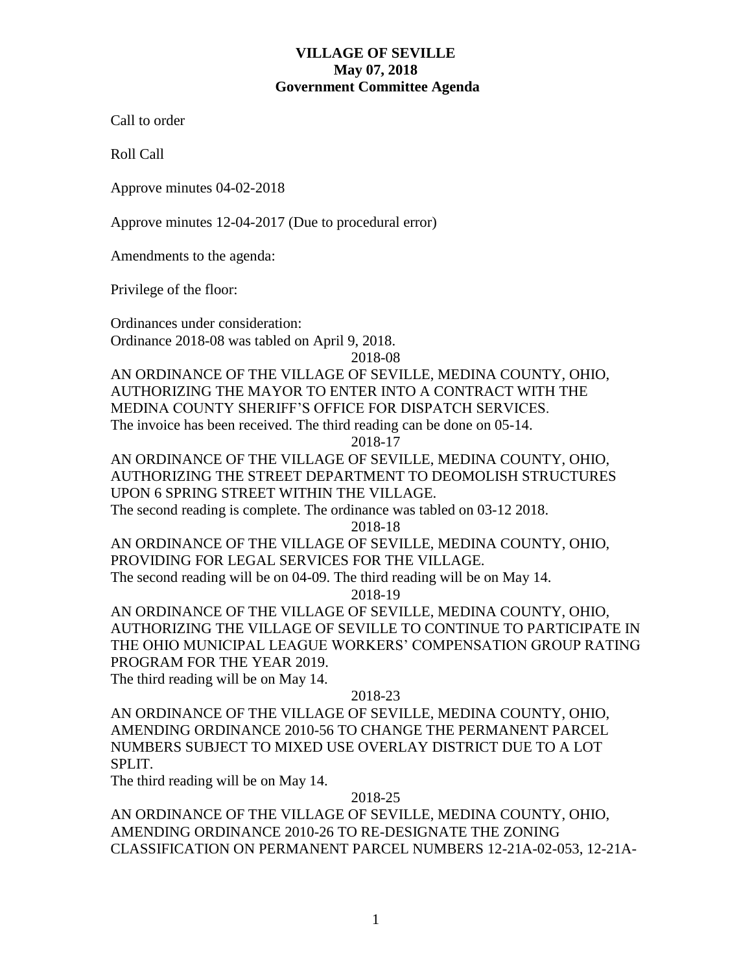# **VILLAGE OF SEVILLE May 07, 2018 Government Committee Agenda**

Call to order

Roll Call

Approve minutes 04-02-2018

Approve minutes 12-04-2017 (Due to procedural error)

Amendments to the agenda:

Privilege of the floor:

Ordinances under consideration: Ordinance 2018-08 was tabled on April 9, 2018.

2018-08

AN ORDINANCE OF THE VILLAGE OF SEVILLE, MEDINA COUNTY, OHIO, AUTHORIZING THE MAYOR TO ENTER INTO A CONTRACT WITH THE MEDINA COUNTY SHERIFF'S OFFICE FOR DISPATCH SERVICES. The invoice has been received. The third reading can be done on 05-14.

2018-17

AN ORDINANCE OF THE VILLAGE OF SEVILLE, MEDINA COUNTY, OHIO, AUTHORIZING THE STREET DEPARTMENT TO DEOMOLISH STRUCTURES UPON 6 SPRING STREET WITHIN THE VILLAGE.

The second reading is complete. The ordinance was tabled on 03-12 2018.

2018-18

AN ORDINANCE OF THE VILLAGE OF SEVILLE, MEDINA COUNTY, OHIO, PROVIDING FOR LEGAL SERVICES FOR THE VILLAGE. The second reading will be on 04-09. The third reading will be on May 14.

2018-19

AN ORDINANCE OF THE VILLAGE OF SEVILLE, MEDINA COUNTY, OHIO, AUTHORIZING THE VILLAGE OF SEVILLE TO CONTINUE TO PARTICIPATE IN THE OHIO MUNICIPAL LEAGUE WORKERS' COMPENSATION GROUP RATING PROGRAM FOR THE YEAR 2019.

The third reading will be on May 14.

# 2018-23

AN ORDINANCE OF THE VILLAGE OF SEVILLE, MEDINA COUNTY, OHIO, AMENDING ORDINANCE 2010-56 TO CHANGE THE PERMANENT PARCEL NUMBERS SUBJECT TO MIXED USE OVERLAY DISTRICT DUE TO A LOT SPLIT.

The third reading will be on May 14.

### 2018-25

AN ORDINANCE OF THE VILLAGE OF SEVILLE, MEDINA COUNTY, OHIO, AMENDING ORDINANCE 2010-26 TO RE-DESIGNATE THE ZONING CLASSIFICATION ON PERMANENT PARCEL NUMBERS 12-21A-02-053, 12-21A-